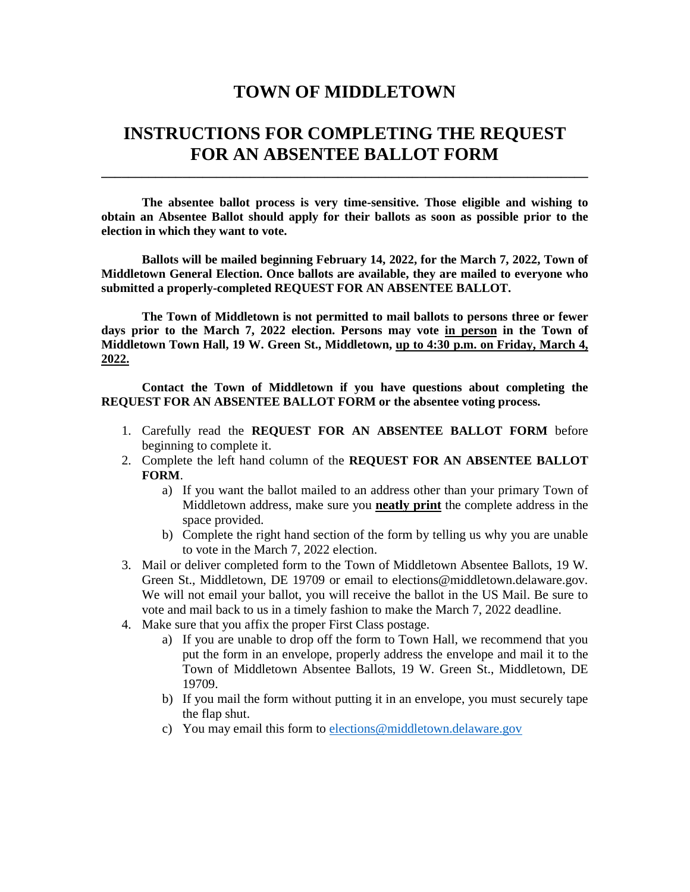## **TOWN OF MIDDLETOWN**

## **INSTRUCTIONS FOR COMPLETING THE REQUEST FOR AN ABSENTEE BALLOT FORM**

**\_\_\_\_\_\_\_\_\_\_\_\_\_\_\_\_\_\_\_\_\_\_\_\_\_\_\_\_\_\_\_\_\_\_\_\_\_\_\_\_\_\_\_\_\_\_\_\_\_\_\_\_\_\_\_\_\_\_\_\_\_\_\_\_\_\_\_\_\_\_\_\_**

**The absentee ballot process is very time-sensitive. Those eligible and wishing to obtain an Absentee Ballot should apply for their ballots as soon as possible prior to the election in which they want to vote.**

**Ballots will be mailed beginning February 14, 2022, for the March 7, 2022, Town of Middletown General Election. Once ballots are available, they are mailed to everyone who submitted a properly-completed REQUEST FOR AN ABSENTEE BALLOT.**

**The Town of Middletown is not permitted to mail ballots to persons three or fewer days prior to the March 7, 2022 election. Persons may vote in person in the Town of Middletown Town Hall, 19 W. Green St., Middletown, up to 4:30 p.m. on Friday, March 4, 2022.**

**Contact the Town of Middletown if you have questions about completing the REQUEST FOR AN ABSENTEE BALLOT FORM or the absentee voting process.**

- 1. Carefully read the **REQUEST FOR AN ABSENTEE BALLOT FORM** before beginning to complete it.
- 2. Complete the left hand column of the **REQUEST FOR AN ABSENTEE BALLOT FORM**.
	- a) If you want the ballot mailed to an address other than your primary Town of Middletown address, make sure you **neatly print** the complete address in the space provided.
	- b) Complete the right hand section of the form by telling us why you are unable to vote in the March 7, 2022 election.
- 3. Mail or deliver completed form to the Town of Middletown Absentee Ballots, 19 W. Green St., Middletown, DE 19709 or email to elections@middletown.delaware.gov. We will not email your ballot, you will receive the ballot in the US Mail. Be sure to vote and mail back to us in a timely fashion to make the March 7, 2022 deadline.
- 4. Make sure that you affix the proper First Class postage.
	- a) If you are unable to drop off the form to Town Hall, we recommend that you put the form in an envelope, properly address the envelope and mail it to the Town of Middletown Absentee Ballots, 19 W. Green St., Middletown, DE 19709.
	- b) If you mail the form without putting it in an envelope, you must securely tape the flap shut.
	- c) You may email this form to [elections@middletown.delaware.gov](mailto:elections@middletown.delaware.gov)